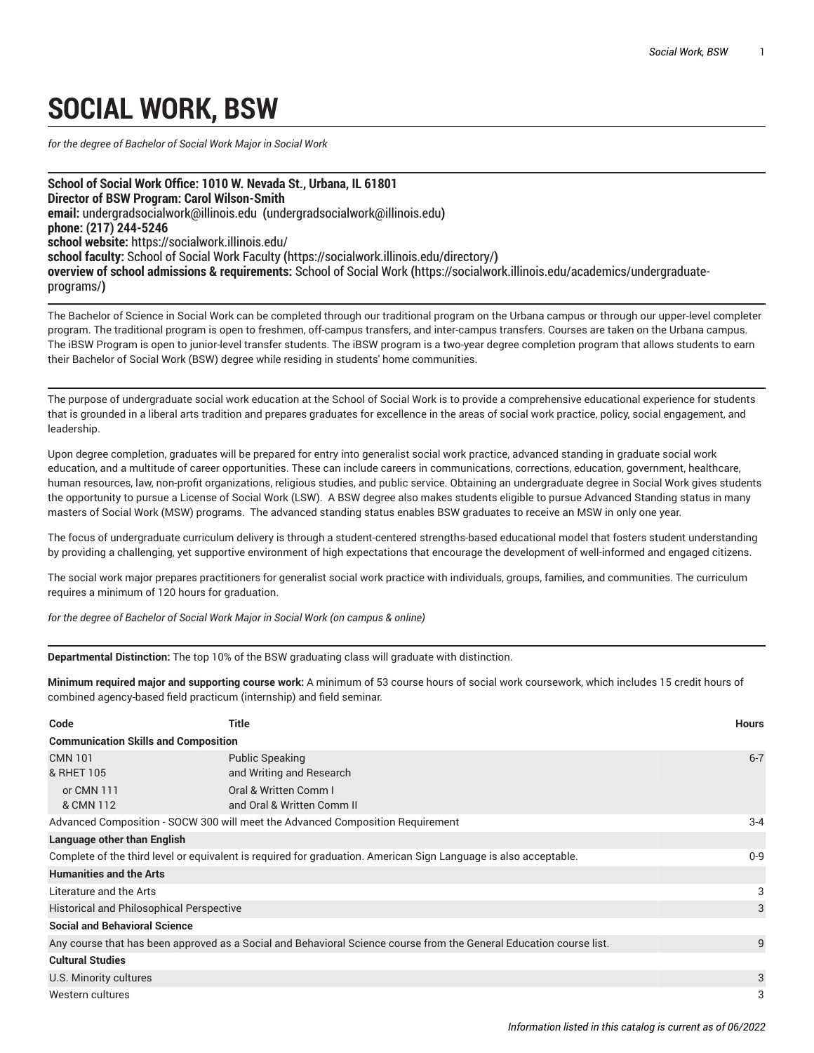## **SOCIAL WORK, BSW**

*for the degree of Bachelor of Social Work Major in Social Work*

**School of Social Work Office: 1010 W. Nevada St., Urbana, IL 61801 Director of BSW Program: Carol Wilson-Smith email:** [undergradsocialwork@illinois.edu](mailto:undergradsocialwork@illinois.edu) **(**<undergradsocialwork@illinois.edu>**) phone: (217) 244-5246 school website:** <https://socialwork.illinois.edu/> **school faculty:** School of Social Work [Faculty](https://socialwork.illinois.edu/directory/) **(**<https://socialwork.illinois.edu/directory/>**) overview of school admissions & requirements:** [School](https://socialwork.illinois.edu/academics/undergraduate-programs/) of Social Work **(**[https://socialwork.illinois.edu/academics/undergraduate](https://socialwork.illinois.edu/academics/undergraduate-programs/)[programs/](https://socialwork.illinois.edu/academics/undergraduate-programs/)**)**

The Bachelor of Science in Social Work can be completed through our traditional program on the Urbana campus or through our upper-level completer program. The traditional program is open to freshmen, off-campus transfers, and inter-campus transfers. Courses are taken on the Urbana campus. The iBSW Program is open to junior-level transfer students. The iBSW program is a two-year degree completion program that allows students to earn their Bachelor of Social Work (BSW) degree while residing in students' home communities.

The purpose of undergraduate social work education at the School of Social Work is to provide a comprehensive educational experience for students that is grounded in a liberal arts tradition and prepares graduates for excellence in the areas of social work practice, policy, social engagement, and leadership.

Upon degree completion, graduates will be prepared for entry into generalist social work practice, advanced standing in graduate social work education, and a multitude of career opportunities. These can include careers in communications, corrections, education, government, healthcare, human resources, law, non-profit organizations, religious studies, and public service. Obtaining an undergraduate degree in Social Work gives students the opportunity to pursue a License of Social Work (LSW). A BSW degree also makes students eligible to pursue Advanced Standing status in many masters of Social Work (MSW) programs. The advanced standing status enables BSW graduates to receive an MSW in only one year.

The focus of undergraduate curriculum delivery is through a student-centered strengths-based educational model that fosters student understanding by providing a challenging, yet supportive environment of high expectations that encourage the development of well-informed and engaged citizens.

The social work major prepares practitioners for generalist social work practice with individuals, groups, families, and communities. The curriculum requires a minimum of 120 hours for graduation.

*for the degree of Bachelor of Social Work Major in Social Work (on campus & online)*

**Departmental Distinction:** The top 10% of the BSW graduating class will graduate with distinction.

**Minimum required major and supporting course work:** A minimum of 53 course hours of social work coursework, which includes 15 credit hours of combined agency-based field practicum (internship) and field seminar.

| Code                                                                                                                | Title                                               | <b>Hours</b> |
|---------------------------------------------------------------------------------------------------------------------|-----------------------------------------------------|--------------|
| <b>Communication Skills and Composition</b>                                                                         |                                                     |              |
| <b>CMN 101</b><br>& RHET 105                                                                                        | <b>Public Speaking</b><br>and Writing and Research  | $6 - 7$      |
| or CMN 111<br>& CMN 112                                                                                             | Oral & Written Comm I<br>and Oral & Written Comm II |              |
| Advanced Composition - SOCW 300 will meet the Advanced Composition Requirement                                      |                                                     |              |
| Language other than English                                                                                         |                                                     |              |
| Complete of the third level or equivalent is required for graduation. American Sign Language is also acceptable.    |                                                     |              |
| <b>Humanities and the Arts</b>                                                                                      |                                                     |              |
| Literature and the Arts                                                                                             |                                                     | 3            |
| <b>Historical and Philosophical Perspective</b>                                                                     |                                                     |              |
| <b>Social and Behavioral Science</b>                                                                                |                                                     |              |
| Any course that has been approved as a Social and Behavioral Science course from the General Education course list. |                                                     |              |
| <b>Cultural Studies</b>                                                                                             |                                                     |              |
| U.S. Minority cultures                                                                                              |                                                     |              |
| Western cultures                                                                                                    |                                                     |              |